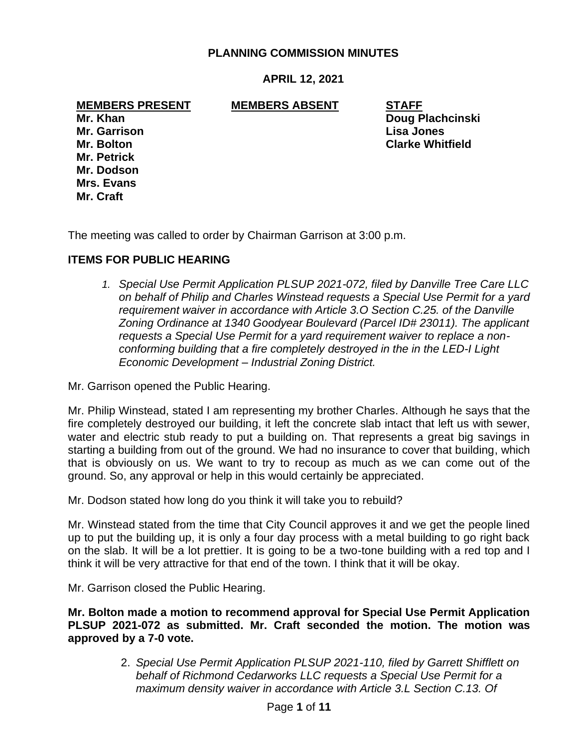## **PLANNING COMMISSION MINUTES**

**APRIL 12, 2021**

**MEMBERS PRESENT MEMBERS ABSENT STAFF**

**Mr. Garrison Lisa Jones Mr. Petrick Mr. Dodson Mrs. Evans Mr. Craft**

**Mr. Khan Doug Plachcinski Mr. Bolton Clarke Whitfield**

The meeting was called to order by Chairman Garrison at 3:00 p.m.

# **ITEMS FOR PUBLIC HEARING**

*1. Special Use Permit Application PLSUP 2021-072, filed by Danville Tree Care LLC on behalf of Philip and Charles Winstead requests a Special Use Permit for a yard requirement waiver in accordance with Article 3.O Section C.25. of the Danville Zoning Ordinance at 1340 Goodyear Boulevard (Parcel ID# 23011). The applicant requests a Special Use Permit for a yard requirement waiver to replace a nonconforming building that a fire completely destroyed in the in the LED-I Light Economic Development – Industrial Zoning District.*

Mr. Garrison opened the Public Hearing.

Mr. Philip Winstead, stated I am representing my brother Charles. Although he says that the fire completely destroyed our building, it left the concrete slab intact that left us with sewer, water and electric stub ready to put a building on. That represents a great big savings in starting a building from out of the ground. We had no insurance to cover that building, which that is obviously on us. We want to try to recoup as much as we can come out of the ground. So, any approval or help in this would certainly be appreciated.

Mr. Dodson stated how long do you think it will take you to rebuild?

Mr. Winstead stated from the time that City Council approves it and we get the people lined up to put the building up, it is only a four day process with a metal building to go right back on the slab. It will be a lot prettier. It is going to be a two-tone building with a red top and I think it will be very attractive for that end of the town. I think that it will be okay.

Mr. Garrison closed the Public Hearing.

**Mr. Bolton made a motion to recommend approval for Special Use Permit Application PLSUP 2021-072 as submitted. Mr. Craft seconded the motion. The motion was approved by a 7-0 vote.**

> 2. *Special Use Permit Application PLSUP 2021-110, filed by Garrett Shifflett on behalf of Richmond Cedarworks LLC requests a Special Use Permit for a maximum density waiver in accordance with Article 3.L Section C.13. Of*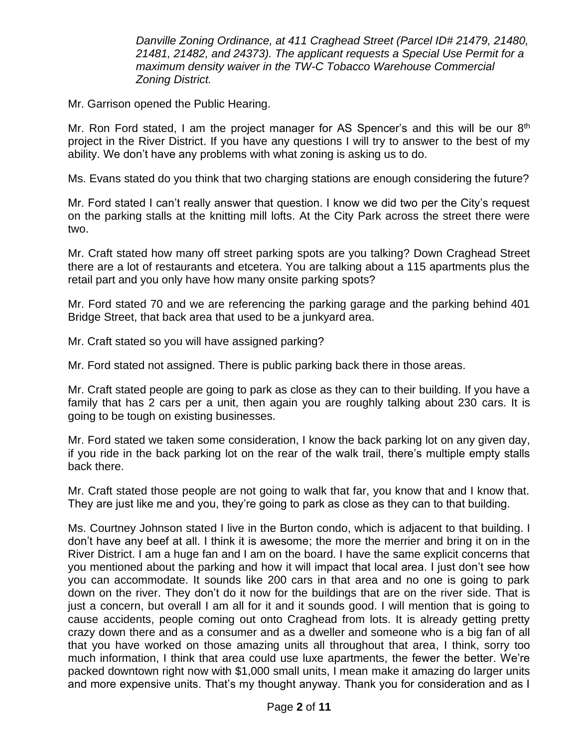*Danville Zoning Ordinance, at 411 Craghead Street (Parcel ID# 21479, 21480, 21481, 21482, and 24373). The applicant requests a Special Use Permit for a maximum density waiver in the TW-C Tobacco Warehouse Commercial Zoning District.*

Mr. Garrison opened the Public Hearing.

Mr. Ron Ford stated, I am the project manager for AS Spencer's and this will be our  $8<sup>th</sup>$ project in the River District. If you have any questions I will try to answer to the best of my ability. We don't have any problems with what zoning is asking us to do.

Ms. Evans stated do you think that two charging stations are enough considering the future?

Mr. Ford stated I can't really answer that question. I know we did two per the City's request on the parking stalls at the knitting mill lofts. At the City Park across the street there were two.

Mr. Craft stated how many off street parking spots are you talking? Down Craghead Street there are a lot of restaurants and etcetera. You are talking about a 115 apartments plus the retail part and you only have how many onsite parking spots?

Mr. Ford stated 70 and we are referencing the parking garage and the parking behind 401 Bridge Street, that back area that used to be a junkyard area.

Mr. Craft stated so you will have assigned parking?

Mr. Ford stated not assigned. There is public parking back there in those areas.

Mr. Craft stated people are going to park as close as they can to their building. If you have a family that has 2 cars per a unit, then again you are roughly talking about 230 cars. It is going to be tough on existing businesses.

Mr. Ford stated we taken some consideration, I know the back parking lot on any given day, if you ride in the back parking lot on the rear of the walk trail, there's multiple empty stalls back there.

Mr. Craft stated those people are not going to walk that far, you know that and I know that. They are just like me and you, they're going to park as close as they can to that building.

Ms. Courtney Johnson stated I live in the Burton condo, which is adjacent to that building. I don't have any beef at all. I think it is awesome; the more the merrier and bring it on in the River District. I am a huge fan and I am on the board. I have the same explicit concerns that you mentioned about the parking and how it will impact that local area. I just don't see how you can accommodate. It sounds like 200 cars in that area and no one is going to park down on the river. They don't do it now for the buildings that are on the river side. That is just a concern, but overall I am all for it and it sounds good. I will mention that is going to cause accidents, people coming out onto Craghead from lots. It is already getting pretty crazy down there and as a consumer and as a dweller and someone who is a big fan of all that you have worked on those amazing units all throughout that area, I think, sorry too much information, I think that area could use luxe apartments, the fewer the better. We're packed downtown right now with \$1,000 small units, I mean make it amazing do larger units and more expensive units. That's my thought anyway. Thank you for consideration and as I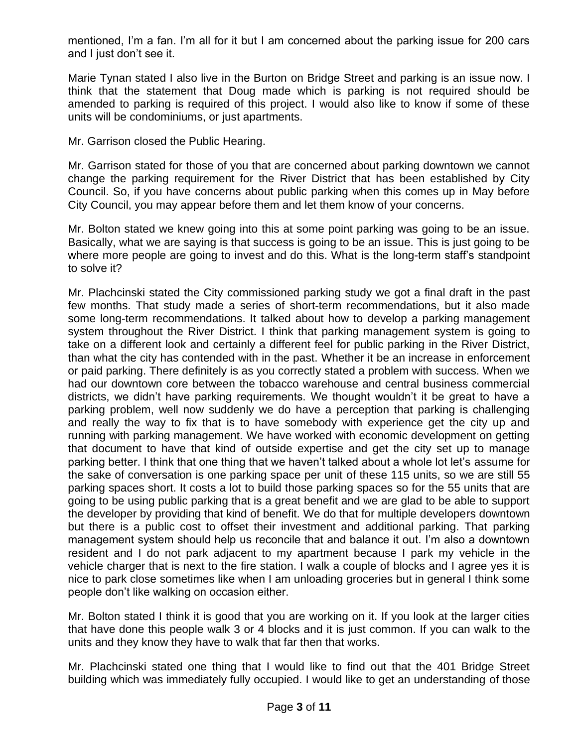mentioned, I'm a fan. I'm all for it but I am concerned about the parking issue for 200 cars and I just don't see it.

Marie Tynan stated I also live in the Burton on Bridge Street and parking is an issue now. I think that the statement that Doug made which is parking is not required should be amended to parking is required of this project. I would also like to know if some of these units will be condominiums, or just apartments.

Mr. Garrison closed the Public Hearing.

Mr. Garrison stated for those of you that are concerned about parking downtown we cannot change the parking requirement for the River District that has been established by City Council. So, if you have concerns about public parking when this comes up in May before City Council, you may appear before them and let them know of your concerns.

Mr. Bolton stated we knew going into this at some point parking was going to be an issue. Basically, what we are saying is that success is going to be an issue. This is just going to be where more people are going to invest and do this. What is the long-term staff's standpoint to solve it?

Mr. Plachcinski stated the City commissioned parking study we got a final draft in the past few months. That study made a series of short-term recommendations, but it also made some long-term recommendations. It talked about how to develop a parking management system throughout the River District. I think that parking management system is going to take on a different look and certainly a different feel for public parking in the River District, than what the city has contended with in the past. Whether it be an increase in enforcement or paid parking. There definitely is as you correctly stated a problem with success. When we had our downtown core between the tobacco warehouse and central business commercial districts, we didn't have parking requirements. We thought wouldn't it be great to have a parking problem, well now suddenly we do have a perception that parking is challenging and really the way to fix that is to have somebody with experience get the city up and running with parking management. We have worked with economic development on getting that document to have that kind of outside expertise and get the city set up to manage parking better. I think that one thing that we haven't talked about a whole lot let's assume for the sake of conversation is one parking space per unit of these 115 units, so we are still 55 parking spaces short. It costs a lot to build those parking spaces so for the 55 units that are going to be using public parking that is a great benefit and we are glad to be able to support the developer by providing that kind of benefit. We do that for multiple developers downtown but there is a public cost to offset their investment and additional parking. That parking management system should help us reconcile that and balance it out. I'm also a downtown resident and I do not park adjacent to my apartment because I park my vehicle in the vehicle charger that is next to the fire station. I walk a couple of blocks and I agree yes it is nice to park close sometimes like when I am unloading groceries but in general I think some people don't like walking on occasion either.

Mr. Bolton stated I think it is good that you are working on it. If you look at the larger cities that have done this people walk 3 or 4 blocks and it is just common. If you can walk to the units and they know they have to walk that far then that works.

Mr. Plachcinski stated one thing that I would like to find out that the 401 Bridge Street building which was immediately fully occupied. I would like to get an understanding of those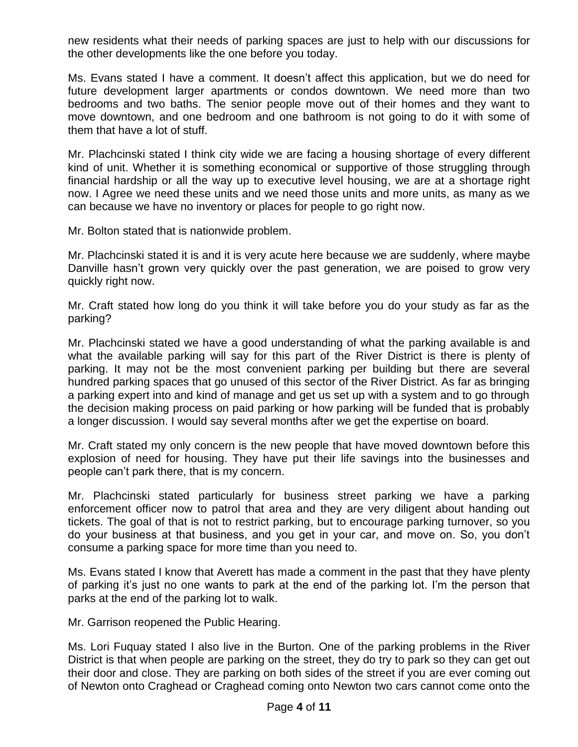new residents what their needs of parking spaces are just to help with our discussions for the other developments like the one before you today.

Ms. Evans stated I have a comment. It doesn't affect this application, but we do need for future development larger apartments or condos downtown. We need more than two bedrooms and two baths. The senior people move out of their homes and they want to move downtown, and one bedroom and one bathroom is not going to do it with some of them that have a lot of stuff.

Mr. Plachcinski stated I think city wide we are facing a housing shortage of every different kind of unit. Whether it is something economical or supportive of those struggling through financial hardship or all the way up to executive level housing, we are at a shortage right now. I Agree we need these units and we need those units and more units, as many as we can because we have no inventory or places for people to go right now.

Mr. Bolton stated that is nationwide problem.

Mr. Plachcinski stated it is and it is very acute here because we are suddenly, where maybe Danville hasn't grown very quickly over the past generation, we are poised to grow very quickly right now.

Mr. Craft stated how long do you think it will take before you do your study as far as the parking?

Mr. Plachcinski stated we have a good understanding of what the parking available is and what the available parking will say for this part of the River District is there is plenty of parking. It may not be the most convenient parking per building but there are several hundred parking spaces that go unused of this sector of the River District. As far as bringing a parking expert into and kind of manage and get us set up with a system and to go through the decision making process on paid parking or how parking will be funded that is probably a longer discussion. I would say several months after we get the expertise on board.

Mr. Craft stated my only concern is the new people that have moved downtown before this explosion of need for housing. They have put their life savings into the businesses and people can't park there, that is my concern.

Mr. Plachcinski stated particularly for business street parking we have a parking enforcement officer now to patrol that area and they are very diligent about handing out tickets. The goal of that is not to restrict parking, but to encourage parking turnover, so you do your business at that business, and you get in your car, and move on. So, you don't consume a parking space for more time than you need to.

Ms. Evans stated I know that Averett has made a comment in the past that they have plenty of parking it's just no one wants to park at the end of the parking lot. I'm the person that parks at the end of the parking lot to walk.

Mr. Garrison reopened the Public Hearing.

Ms. Lori Fuquay stated I also live in the Burton. One of the parking problems in the River District is that when people are parking on the street, they do try to park so they can get out their door and close. They are parking on both sides of the street if you are ever coming out of Newton onto Craghead or Craghead coming onto Newton two cars cannot come onto the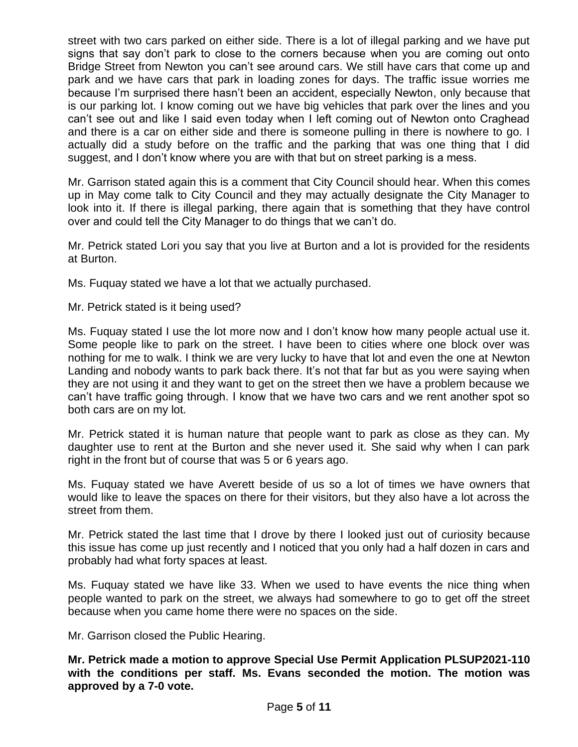street with two cars parked on either side. There is a lot of illegal parking and we have put signs that say don't park to close to the corners because when you are coming out onto Bridge Street from Newton you can't see around cars. We still have cars that come up and park and we have cars that park in loading zones for days. The traffic issue worries me because I'm surprised there hasn't been an accident, especially Newton, only because that is our parking lot. I know coming out we have big vehicles that park over the lines and you can't see out and like I said even today when I left coming out of Newton onto Craghead and there is a car on either side and there is someone pulling in there is nowhere to go. I actually did a study before on the traffic and the parking that was one thing that I did suggest, and I don't know where you are with that but on street parking is a mess.

Mr. Garrison stated again this is a comment that City Council should hear. When this comes up in May come talk to City Council and they may actually designate the City Manager to look into it. If there is illegal parking, there again that is something that they have control over and could tell the City Manager to do things that we can't do.

Mr. Petrick stated Lori you say that you live at Burton and a lot is provided for the residents at Burton.

Ms. Fuquay stated we have a lot that we actually purchased.

Mr. Petrick stated is it being used?

Ms. Fuquay stated I use the lot more now and I don't know how many people actual use it. Some people like to park on the street. I have been to cities where one block over was nothing for me to walk. I think we are very lucky to have that lot and even the one at Newton Landing and nobody wants to park back there. It's not that far but as you were saying when they are not using it and they want to get on the street then we have a problem because we can't have traffic going through. I know that we have two cars and we rent another spot so both cars are on my lot.

Mr. Petrick stated it is human nature that people want to park as close as they can. My daughter use to rent at the Burton and she never used it. She said why when I can park right in the front but of course that was 5 or 6 years ago.

Ms. Fuquay stated we have Averett beside of us so a lot of times we have owners that would like to leave the spaces on there for their visitors, but they also have a lot across the street from them.

Mr. Petrick stated the last time that I drove by there I looked just out of curiosity because this issue has come up just recently and I noticed that you only had a half dozen in cars and probably had what forty spaces at least.

Ms. Fuquay stated we have like 33. When we used to have events the nice thing when people wanted to park on the street, we always had somewhere to go to get off the street because when you came home there were no spaces on the side.

Mr. Garrison closed the Public Hearing.

**Mr. Petrick made a motion to approve Special Use Permit Application PLSUP2021-110 with the conditions per staff. Ms. Evans seconded the motion. The motion was approved by a 7-0 vote.**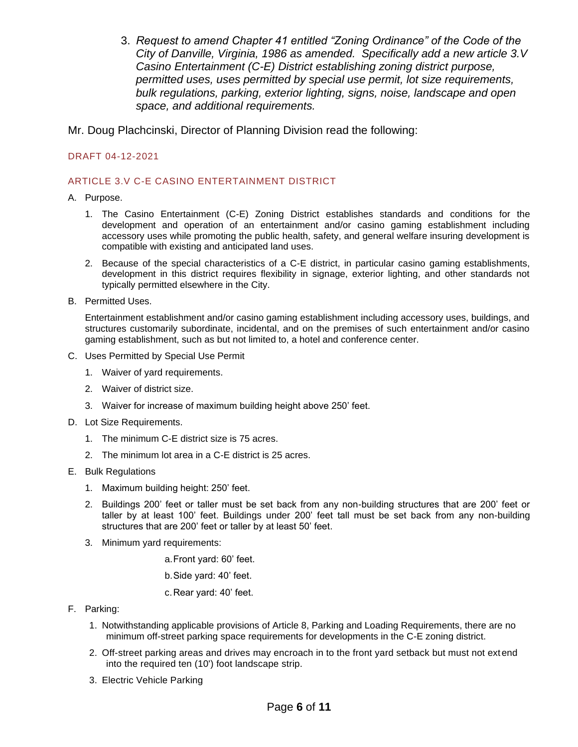3. *Request to amend Chapter 41 entitled "Zoning Ordinance" of the Code of the City of Danville, Virginia, 1986 as amended. Specifically add a new article 3.V Casino Entertainment (C-E) District establishing zoning district purpose, permitted uses, uses permitted by special use permit, lot size requirements, bulk regulations, parking, exterior lighting, signs, noise, landscape and open space, and additional requirements.*

Mr. Doug Plachcinski, Director of Planning Division read the following:

## DRAFT 04-12-2021

#### ARTICLE 3.V C-E CASINO ENTERTAINMENT DISTRICT

#### A. Purpose.

- 1. The Casino Entertainment (C-E) Zoning District establishes standards and conditions for the development and operation of an entertainment and/or casino gaming establishment including accessory uses while promoting the public health, safety, and general welfare insuring development is compatible with existing and anticipated land uses.
- 2. Because of the special characteristics of a C-E district, in particular casino gaming establishments, development in this district requires flexibility in signage, exterior lighting, and other standards not typically permitted elsewhere in the City.
- B. Permitted Uses.

Entertainment establishment and/or casino gaming establishment including accessory uses, buildings, and structures customarily subordinate, incidental, and on the premises of such entertainment and/or casino gaming establishment, such as but not limited to, a hotel and conference center.

- C. Uses Permitted by Special Use Permit
	- 1. Waiver of yard requirements.
	- 2. Waiver of district size.
	- 3. Waiver for increase of maximum building height above 250' feet.
- D. Lot Size Requirements.
	- 1. The minimum C-E district size is 75 acres.
	- 2. The minimum lot area in a C-E district is 25 acres.
- E. Bulk Regulations
	- 1. Maximum building height: 250' feet.
	- 2. Buildings 200' feet or taller must be set back from any non-building structures that are 200' feet or taller by at least 100' feet. Buildings under 200' feet tall must be set back from any non-building structures that are 200' feet or taller by at least 50' feet.
	- 3. Minimum yard requirements:

a.Front yard: 60' feet.

b.Side yard: 40' feet.

c.Rear yard: 40' feet.

- F. Parking:
	- 1. Notwithstanding applicable provisions of Article 8, Parking and Loading Requirements, there are no minimum off-street parking space requirements for developments in the C-E zoning district.
	- 2. Off-street parking areas and drives may encroach in to the front yard setback but must not extend into the required ten (10') foot landscape strip.
	- 3. Electric Vehicle Parking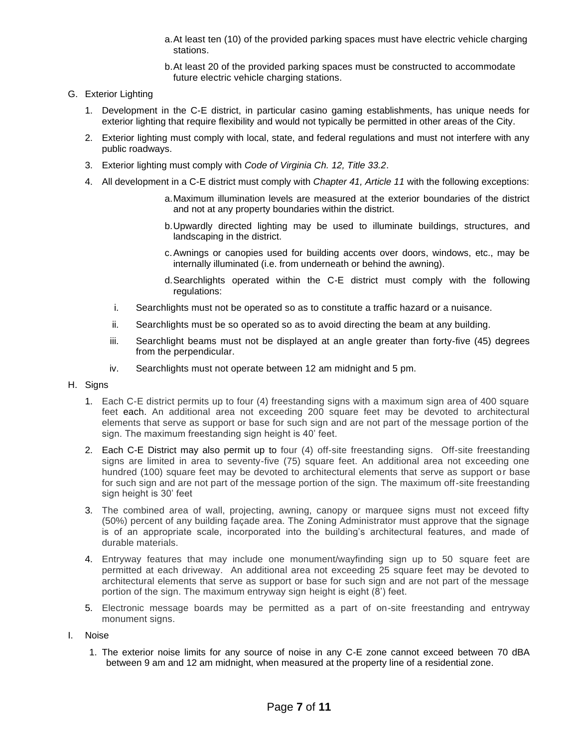- a.At least ten (10) of the provided parking spaces must have electric vehicle charging stations.
- b.At least 20 of the provided parking spaces must be constructed to accommodate future electric vehicle charging stations.

## G. Exterior Lighting

- 1. Development in the C-E district, in particular casino gaming establishments, has unique needs for exterior lighting that require flexibility and would not typically be permitted in other areas of the City.
- 2. Exterior lighting must comply with local, state, and federal regulations and must not interfere with any public roadways.
- 3. Exterior lighting must comply with *Code of Virginia Ch. 12, Title 33.2*.
- 4. All development in a C-E district must comply with *Chapter 41, Article 11* with the following exceptions:
	- a.Maximum illumination levels are measured at the exterior boundaries of the district and not at any property boundaries within the district.
	- b.Upwardly directed lighting may be used to illuminate buildings, structures, and landscaping in the district.
	- c.Awnings or canopies used for building accents over doors, windows, etc., may be internally illuminated (i.e. from underneath or behind the awning).
	- d.Searchlights operated within the C-E district must comply with the following regulations:
	- i. Searchlights must not be operated so as to constitute a traffic hazard or a nuisance.
	- ii. Searchlights must be so operated so as to avoid directing the beam at any building.
	- iii. Searchlight beams must not be displayed at an angle greater than forty-five (45) degrees from the perpendicular.
	- iv. Searchlights must not operate between 12 am midnight and 5 pm.
- H. Signs
	- 1. Each C-E district permits up to four (4) freestanding signs with a maximum sign area of 400 square feet each. An additional area not exceeding 200 square feet may be devoted to architectural elements that serve as support or base for such sign and are not part of the message portion of the sign. The maximum freestanding sign height is 40' feet.
	- 2. Each C-E District may also permit up to four (4) off-site freestanding signs. Off-site freestanding signs are limited in area to seventy-five (75) square feet. An additional area not exceeding one hundred (100) square feet may be devoted to architectural elements that serve as support or base for such sign and are not part of the message portion of the sign. The maximum off-site freestanding sign height is 30' feet
	- 3. The combined area of wall, projecting, awning, canopy or marquee signs must not exceed fifty (50%) percent of any building façade area. The Zoning Administrator must approve that the signage is of an appropriate scale, incorporated into the building's architectural features, and made of durable materials.
	- 4. Entryway features that may include one monument/wayfinding sign up to 50 square feet are permitted at each driveway. An additional area not exceeding 25 square feet may be devoted to architectural elements that serve as support or base for such sign and are not part of the message portion of the sign. The maximum entryway sign height is eight  $(8')$  feet.
	- 5. Electronic message boards may be permitted as a part of on-site freestanding and entryway monument signs.
- I. Noise
	- 1. The exterior noise limits for any source of noise in any C-E zone cannot exceed between 70 dBA between 9 am and 12 am midnight, when measured at the property line of a residential zone.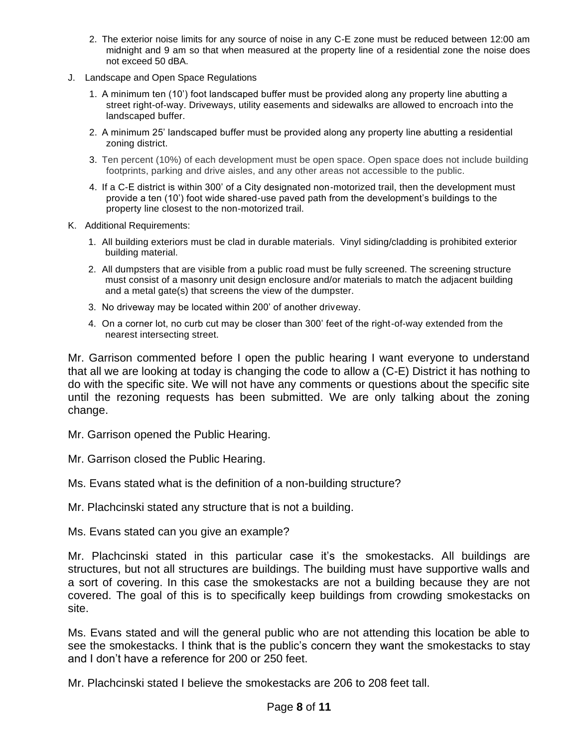- 2. The exterior noise limits for any source of noise in any C-E zone must be reduced between 12:00 am midnight and 9 am so that when measured at the property line of a residential zone the noise does not exceed 50 dBA.
- J. Landscape and Open Space Regulations
	- 1. A minimum ten (10') foot landscaped buffer must be provided along any property line abutting a street right-of-way. Driveways, utility easements and sidewalks are allowed to encroach into the landscaped buffer.
	- 2. A minimum 25' landscaped buffer must be provided along any property line abutting a residential zoning district.
	- 3. Ten percent (10%) of each development must be open space. Open space does not include building footprints, parking and drive aisles, and any other areas not accessible to the public.
	- 4. If a C-E district is within 300' of a City designated non-motorized trail, then the development must provide a ten (10') foot wide shared-use paved path from the development's buildings to the property line closest to the non-motorized trail.
- K. Additional Requirements:
	- 1. All building exteriors must be clad in durable materials. Vinyl siding/cladding is prohibited exterior building material.
	- 2. All dumpsters that are visible from a public road must be fully screened. The screening structure must consist of a masonry unit design enclosure and/or materials to match the adjacent building and a metal gate(s) that screens the view of the dumpster.
	- 3. No driveway may be located within 200' of another driveway.
	- 4. On a corner lot, no curb cut may be closer than 300' feet of the right-of-way extended from the nearest intersecting street.

Mr. Garrison commented before I open the public hearing I want everyone to understand that all we are looking at today is changing the code to allow a (C-E) District it has nothing to do with the specific site. We will not have any comments or questions about the specific site until the rezoning requests has been submitted. We are only talking about the zoning change.

Mr. Garrison opened the Public Hearing.

Mr. Garrison closed the Public Hearing.

Ms. Evans stated what is the definition of a non-building structure?

Mr. Plachcinski stated any structure that is not a building.

Ms. Evans stated can you give an example?

Mr. Plachcinski stated in this particular case it's the smokestacks. All buildings are structures, but not all structures are buildings. The building must have supportive walls and a sort of covering. In this case the smokestacks are not a building because they are not covered. The goal of this is to specifically keep buildings from crowding smokestacks on site.

Ms. Evans stated and will the general public who are not attending this location be able to see the smokestacks. I think that is the public's concern they want the smokestacks to stay and I don't have a reference for 200 or 250 feet.

Mr. Plachcinski stated I believe the smokestacks are 206 to 208 feet tall.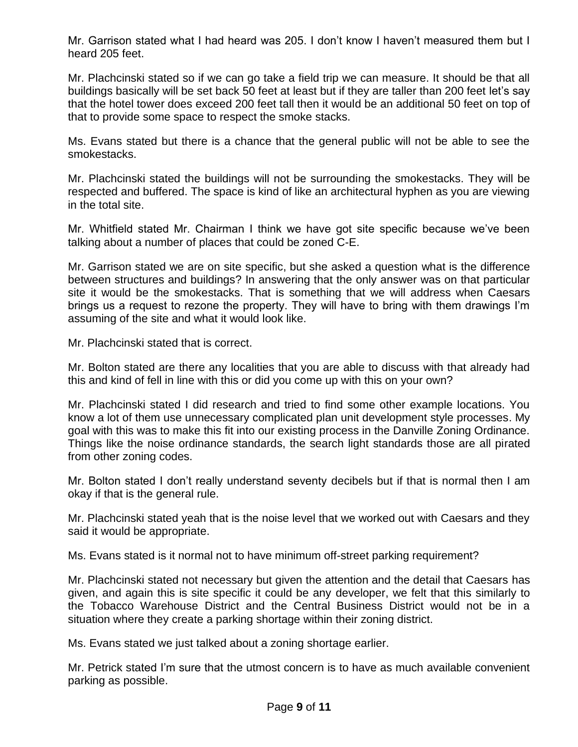Mr. Garrison stated what I had heard was 205. I don't know I haven't measured them but I heard 205 feet.

Mr. Plachcinski stated so if we can go take a field trip we can measure. It should be that all buildings basically will be set back 50 feet at least but if they are taller than 200 feet let's say that the hotel tower does exceed 200 feet tall then it would be an additional 50 feet on top of that to provide some space to respect the smoke stacks.

Ms. Evans stated but there is a chance that the general public will not be able to see the smokestacks.

Mr. Plachcinski stated the buildings will not be surrounding the smokestacks. They will be respected and buffered. The space is kind of like an architectural hyphen as you are viewing in the total site.

Mr. Whitfield stated Mr. Chairman I think we have got site specific because we've been talking about a number of places that could be zoned C-E.

Mr. Garrison stated we are on site specific, but she asked a question what is the difference between structures and buildings? In answering that the only answer was on that particular site it would be the smokestacks. That is something that we will address when Caesars brings us a request to rezone the property. They will have to bring with them drawings I'm assuming of the site and what it would look like.

Mr. Plachcinski stated that is correct.

Mr. Bolton stated are there any localities that you are able to discuss with that already had this and kind of fell in line with this or did you come up with this on your own?

Mr. Plachcinski stated I did research and tried to find some other example locations. You know a lot of them use unnecessary complicated plan unit development style processes. My goal with this was to make this fit into our existing process in the Danville Zoning Ordinance. Things like the noise ordinance standards, the search light standards those are all pirated from other zoning codes.

Mr. Bolton stated I don't really understand seventy decibels but if that is normal then I am okay if that is the general rule.

Mr. Plachcinski stated yeah that is the noise level that we worked out with Caesars and they said it would be appropriate.

Ms. Evans stated is it normal not to have minimum off-street parking requirement?

Mr. Plachcinski stated not necessary but given the attention and the detail that Caesars has given, and again this is site specific it could be any developer, we felt that this similarly to the Tobacco Warehouse District and the Central Business District would not be in a situation where they create a parking shortage within their zoning district.

Ms. Evans stated we just talked about a zoning shortage earlier.

Mr. Petrick stated I'm sure that the utmost concern is to have as much available convenient parking as possible.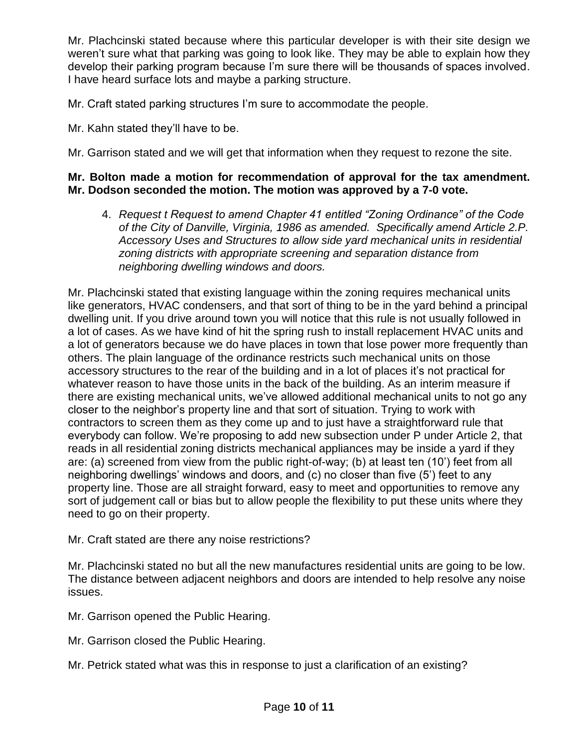Mr. Plachcinski stated because where this particular developer is with their site design we weren't sure what that parking was going to look like. They may be able to explain how they develop their parking program because I'm sure there will be thousands of spaces involved. I have heard surface lots and maybe a parking structure.

Mr. Craft stated parking structures I'm sure to accommodate the people.

- Mr. Kahn stated they'll have to be.
- Mr. Garrison stated and we will get that information when they request to rezone the site.

## **Mr. Bolton made a motion for recommendation of approval for the tax amendment. Mr. Dodson seconded the motion. The motion was approved by a 7-0 vote.**

4. *Request t Request to amend Chapter 41 entitled "Zoning Ordinance" of the Code of the City of Danville, Virginia, 1986 as amended. Specifically amend Article 2.P. Accessory Uses and Structures to allow side yard mechanical units in residential zoning districts with appropriate screening and separation distance from neighboring dwelling windows and doors.*

Mr. Plachcinski stated that existing language within the zoning requires mechanical units like generators, HVAC condensers, and that sort of thing to be in the yard behind a principal dwelling unit. If you drive around town you will notice that this rule is not usually followed in a lot of cases. As we have kind of hit the spring rush to install replacement HVAC units and a lot of generators because we do have places in town that lose power more frequently than others. The plain language of the ordinance restricts such mechanical units on those accessory structures to the rear of the building and in a lot of places it's not practical for whatever reason to have those units in the back of the building. As an interim measure if there are existing mechanical units, we've allowed additional mechanical units to not go any closer to the neighbor's property line and that sort of situation. Trying to work with contractors to screen them as they come up and to just have a straightforward rule that everybody can follow. We're proposing to add new subsection under P under Article 2, that reads in all residential zoning districts mechanical appliances may be inside a yard if they are: (a) screened from view from the public right-of-way; (b) at least ten (10') feet from all neighboring dwellings' windows and doors, and (c) no closer than five (5') feet to any property line. Those are all straight forward, easy to meet and opportunities to remove any sort of judgement call or bias but to allow people the flexibility to put these units where they need to go on their property.

Mr. Craft stated are there any noise restrictions?

Mr. Plachcinski stated no but all the new manufactures residential units are going to be low. The distance between adjacent neighbors and doors are intended to help resolve any noise issues.

- Mr. Garrison opened the Public Hearing.
- Mr. Garrison closed the Public Hearing.
- Mr. Petrick stated what was this in response to just a clarification of an existing?